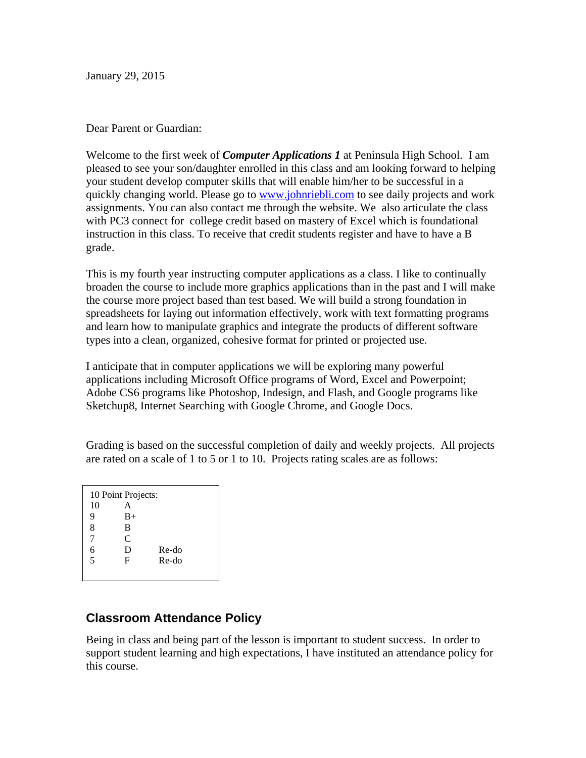January 29, 2015

## Dear Parent or Guardian:

Welcome to the first week of *Computer Applications 1* at Peninsula High School. I am pleased to see your son/daughter enrolled in this class and am looking forward to helping your student develop computer skills that will enable him/her to be successful in a quickly changing world. Please go to www.johnriebli.com to see daily projects and work assignments. You can also contact me through the website. We also articulate the class with PC3 connect for college credit based on mastery of Excel which is foundational instruction in this class. To receive that credit students register and have to have a B grade.

This is my fourth year instructing computer applications as a class. I like to continually broaden the course to include more graphics applications than in the past and I will make the course more project based than test based. We will build a strong foundation in spreadsheets for laying out information effectively, work with text formatting programs and learn how to manipulate graphics and integrate the products of different software types into a clean, organized, cohesive format for printed or projected use.

I anticipate that in computer applications we will be exploring many powerful applications including Microsoft Office programs of Word, Excel and Powerpoint; Adobe CS6 programs like Photoshop, Indesign, and Flash, and Google programs like Sketchup8, Internet Searching with Google Chrome, and Google Docs.

Grading is based on the successful completion of daily and weekly projects. All projects are rated on a scale of 1 to 5 or 1 to 10. Projects rating scales are as follows:

10 Point Projects: 10 A 9 B+ 8 B 7 C 6 D Re-do 5 F Re-do

## **Classroom Attendance Policy**

Being in class and being part of the lesson is important to student success. In order to support student learning and high expectations, I have instituted an attendance policy for this course.